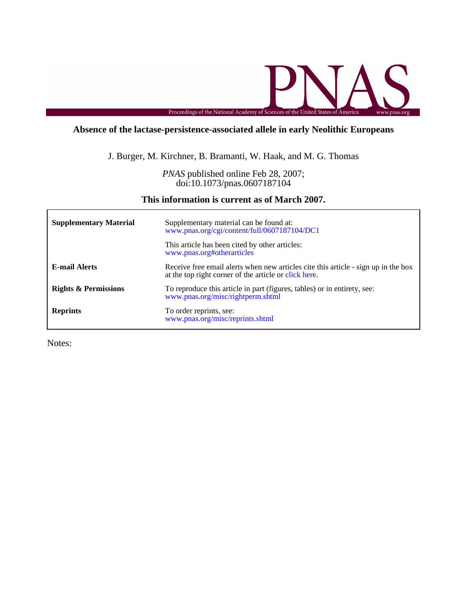

## **Absence of the lactase-persistence-associated allele in early Neolithic Europeans**

J. Burger, M. Kirchner, B. Bramanti, W. Haak, and M. G. Thomas

doi:10.1073/pnas.0607187104 *PNAS* published online Feb 28, 2007;

### **This information is current as of March 2007.**

| <b>Supplementary Material</b>   | Supplementary material can be found at:<br>www.pnas.org/cgi/content/full/0607187104/DC1                                                     |  |  |
|---------------------------------|---------------------------------------------------------------------------------------------------------------------------------------------|--|--|
|                                 | This article has been cited by other articles:<br>www.pnas.org#otherarticles                                                                |  |  |
| <b>E-mail Alerts</b>            | Receive free email alerts when new articles cite this article - sign up in the box<br>at the top right corner of the article or click here. |  |  |
| <b>Rights &amp; Permissions</b> | To reproduce this article in part (figures, tables) or in entirety, see:<br>www.pnas.org/misc/rightperm.shtml                               |  |  |
| <b>Reprints</b>                 | To order reprints, see:<br>www.pnas.org/misc/reprints.shtml                                                                                 |  |  |

Notes: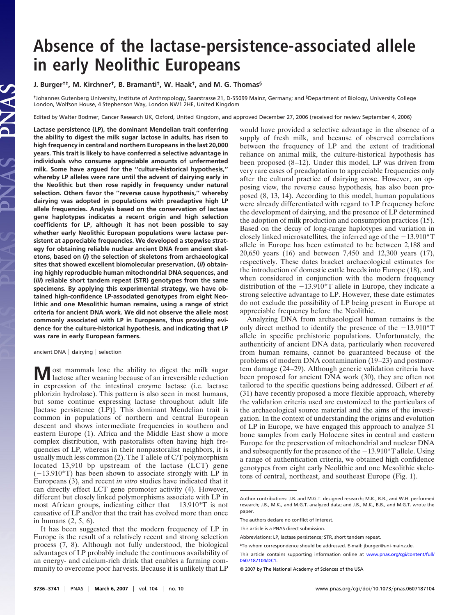# **Absence of the lactase-persistence-associated allele in early Neolithic Europeans**

#### **J. Burger†‡, M. Kirchner†, B. Bramanti†, W. Haak†, and M. G. Thomas§**

†Johannes Gutenberg University, Institute of Anthropology, Saarstrasse 21, D-55099 Mainz, Germany; and §Department of Biology, University College London, Wolfson House, 4 Stephenson Way, London NW1 2HE, United Kingdom

Edited by Walter Bodmer, Cancer Research UK, Oxford, United Kingdom, and approved December 27, 2006 (received for review September 4, 2006)

**Lactase persistence (LP), the dominant Mendelian trait conferring the ability to digest the milk sugar lactose in adults, has risen to high frequency in central and northern Europeans in the last 20,000 years. This trait is likely to have conferred a selective advantage in individuals who consume appreciable amounts of unfermented milk. Some have argued for the ''culture-historical hypothesis,'' whereby LP alleles were rare until the advent of dairying early in the Neolithic but then rose rapidly in frequency under natural selection. Others favor the ''reverse cause hypothesis,'' whereby dairying was adopted in populations with preadaptive high LP allele frequencies. Analysis based on the conservation of lactase gene haplotypes indicates a recent origin and high selection coefficients for LP, although it has not been possible to say whether early Neolithic European populations were lactase persistent at appreciable frequencies. We developed a stepwise strategy for obtaining reliable nuclear ancient DNA from ancient skeletons, based on (***i***) the selection of skeletons from archaeological sites that showed excellent biomolecular preservation, (***ii***) obtaining highly reproducible human mitochondrial DNA sequences, and (***iii***) reliable short tandem repeat (STR) genotypes from the same specimens. By applying this experimental strategy, we have obtained high-confidence LP-associated genotypes from eight Neolithic and one Mesolithic human remains, using a range of strict criteria for ancient DNA work. We did not observe the allele most commonly associated with LP in Europeans, thus providing evidence for the culture-historical hypothesis, and indicating that LP was rare in early European farmers.**

ancient DNA  $|$  dairying  $|$  selection

LAS

**M** ost mammals lose the ability to digest the milk sugar lactose after weaning because of an irreversible reduction in expression of the intestinal enzyme lactase (i.e. lactase phlorizin hydrolase). This pattern is also seen in most humans, but some continue expressing lactase throughout adult life [lactase persistence (LP)]. This dominant Mendelian trait is common in populations of northern and central European descent and shows intermediate frequencies in southern and eastern Europe (1). Africa and the Middle East show a more complex distribution, with pastoralists often having high frequencies of LP, whereas in their nonpastoralist neighbors, it is usually much less common (2). The T allele of C/T polymorphism located 13,910 bp upstream of the lactase (LCT) gene  $(-13.910*T)$  has been shown to associate strongly with LP in Europeans (3), and recent *in vitro* studies have indicated that it can directly effect LCT gene promoter activity (4). However, different but closely linked polymorphisms associate with LP in most African groups, indicating either that  $-13.910^*T$  is not causative of LP and/or that the trait has evolved more than once in humans (2, 5, 6).

would have provided a selective advantage in the absence of a supply of fresh milk, and because of observed correlations between the frequency of LP and the extent of traditional reliance on animal milk, the culture-historical hypothesis has been proposed (8–12). Under this model, LP was driven from very rare cases of preadaptation to appreciable frequencies only after the cultural practice of dairying arose. However, an opposing view, the reverse cause hypothesis, has also been proposed (8, 13, 14). According to this model, human populations were already differentiated with regard to LP frequency before the development of dairying, and the presence of LP determined the adoption of milk production and consumption practices (15). Based on the decay of long-range haplotypes and variation in closely linked microsatellites, the inferred age of the  $-13.910 \times T$ allele in Europe has been estimated to be between 2,188 and 20,650 years (16) and between 7,450 and 12,300 years (17), respectively. These dates bracket archaeological estimates for the introduction of domestic cattle breeds into Europe (18), and when considered in conjunction with the modern frequency distribution of the  $-13.910^*$ T allele in Europe, they indicate a strong selective advantage to LP. However, these date estimates do not exclude the possibility of LP being present in Europe at appreciable frequency before the Neolithic.

Analyzing DNA from archaeological human remains is the only direct method to identify the presence of the  $-13.910 \times T$ allele in specific prehistoric populations. Unfortunately, the authenticity of ancient DNA data, particularly when recovered from human remains, cannot be guaranteed because of the problems of modern DNA contamination (19–23) and postmortem damage (24–29). Although generic validation criteria have been proposed for ancient DNA work (30), they are often not tailored to the specific questions being addressed. Gilbert *et al.* (31) have recently proposed a more flexible approach, whereby the validation criteria used are customized to the particulars of the archaeological source material and the aims of the investigation. In the context of understanding the origins and evolution of LP in Europe, we have engaged this approach to analyze 51 bone samples from early Holocene sites in central and eastern Europe for the preservation of mitochondrial and nuclear DNA and subsequently for the presence of the  $-13.910^*$ T allele. Using a range of authentication criteria, we obtained high confidence genotypes from eight early Neolithic and one Mesolithic skeletons of central, northeast, and southeast Europe (Fig. 1).

It has been suggested that the modern frequency of LP in Europe is the result of a relatively recent and strong selection process (7, 8). Although not fully understood, the biological advantages of LP probably include the continuous availability of an energy- and calcium-rich drink that enables a farming community to overcome poor harvests. Because it is unlikely that LP

Author contributions: J.B. and M.G.T. designed research; M.K., B.B., and W.H. performed research; J.B., M.K., and M.G.T. analyzed data; and J.B., M.K., B.B., and M.G.T. wrote the paper.

The authors declare no conflict of interest.

This article is a PNAS direct submission.

Abbreviations: LP, lactase persistence; STR, short tandem repeat.

<sup>‡</sup>To whom correspondence should be addressed. E-mail: jburger@uni-mainz.de.

This article contains supporting information online at [www.pnas.org/cgi/content/full/](http://www.pnas.org/cgi/content/full/0607187104/DC1) [0607187104/DC1.](http://www.pnas.org/cgi/content/full/0607187104/DC1)

<sup>© 2007</sup> by The National Academy of Sciences of the USA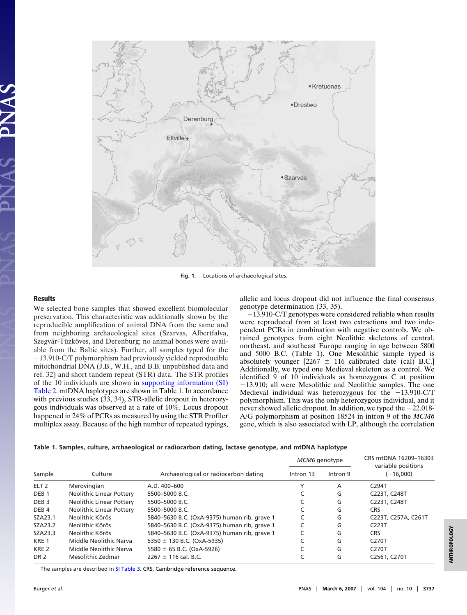

**Fig. 1.** Locations of archaeological sites.

#### **Results**

We selected bone samples that showed excellent biomolecular preservation. This characteristic was additionally shown by the reproducible amplification of animal DNA from the same and from neighboring archaeological sites (Szarvas, Albertfalva, Szegvár-Tüzköves, and Derenburg; no animal bones were available from the Baltic sites). Further, all samples typed for the 13.910-C/T polymorphism had previously yielded reproducible mitochondrial DNA (J.B., W.H., and B.B. unpublished data and ref. 32) and short tandem repeat (STR) data. The STR profiles of the 10 individuals are shown in [supporting information \(SI\)](http://www.pnas.org/cgi/content/full/0607187104/DC1) [Table 2.](http://www.pnas.org/cgi/content/full/0607187104/DC1) mtDNA haplotypes are shown in Table 1. In accordance with previous studies (33, 34), STR-allelic dropout in heterozygous individuals was observed at a rate of 10%. Locus dropout happened in 24% of PCRs as measured by using the STR Profiler multiplex assay. Because of the high number of repeated typings, allelic and locus dropout did not influence the final consensus genotype determination (33, 35).

 $-13.910$ -C/T genotypes were considered reliable when results were reproduced from at least two extractions and two independent PCRs in combination with negative controls. We obtained genotypes from eight Neolithic skeletons of central, northeast, and southeast Europe ranging in age between 5800 and 5000 B.C. (Table 1). One Mesolithic sample typed is absolutely younger  $[2267 \pm 116$  calibrated date (cal) B.C.] Additionally, we typed one Medieval skeleton as a control. We identified 9 of 10 individuals as homozygous C at position 13.910; all were Mesolithic and Neolithic samples. The one Medieval individual was heterozygous for the  $-13.910$ -C/T polymorphism. This was the only heterozygous individual, and it never showed allelic dropout. In addition, we typed the  $-22.018$ -A/G polymorphism at position 18524 in intron 9 of the *MCM6* gene, which is also associated with LP, although the correlation

|  | Table 1. Samples, culture, archaeological or radiocarbon dating, lactase genotype, and mtDNA haplotype |  |  |  |  |  |
|--|--------------------------------------------------------------------------------------------------------|--|--|--|--|--|
|  |                                                                                                        |  |  |  |  |  |

|                  |                                 |                                              | MCM6 genotype |          | CRS mtDNA 16209-16303<br>variable positions<br>$(-16,000)$ |  |
|------------------|---------------------------------|----------------------------------------------|---------------|----------|------------------------------------------------------------|--|
| Sample           | Culture                         | Archaeological or radiocarbon dating         | Intron 13     | Intron 9 |                                                            |  |
| ELT <sub>2</sub> | Merovingian                     | A.D. 400-600                                 | Υ             | А        | C <sub>294</sub> T                                         |  |
| DEB <sub>1</sub> | Neolithic Linear Pottery        | 5500-5000 B.C.                               |               | G        | C223T, C248T                                               |  |
| DEB <sub>3</sub> | Neolithic Linear Pottery        | 5500-5000 B.C.                               |               | G        | C223T, C248T                                               |  |
| DEB <sub>4</sub> | <b>Neolithic Linear Pottery</b> | 5500-5000 B.C.                               |               | G        | <b>CRS</b>                                                 |  |
| SZA23.1          | Neolithic Körös                 | 5840-5630 B.C. (OxA-9375) human rib, grave 1 |               | G        | C223T, C257A, C261T                                        |  |
| SZA23.2          | Neolithic Körös                 | 5840-5630 B.C. (OxA-9375) human rib, grave 1 |               | G        | C <sub>223</sub> T                                         |  |
| SZA23.3          | Neolithic Körös                 | 5840-5630 B.C. (OxA-9375) human rib, grave 1 |               | G        | <b>CRS</b>                                                 |  |
| KRE <sub>1</sub> | Middle Neolithic Narva          | 5350 $\pm$ 130 B.C. (OxA-5935)               |               | G        | C <sub>270</sub> T                                         |  |
| KRE <sub>2</sub> | Middle Neolithic Narva          | 5580 $\pm$ 65 B.C. (OxA-5926)                |               | G        | C <sub>270</sub> T                                         |  |
| DR <sub>2</sub>  | Mesolithic Zedmar               | $2267 \pm 116$ cal. B.C.                     |               | G        | C256T, C270T                                               |  |

The samples are described in [SI Table 3.](http://www.pnas.org/cgi/content/full//DC1) CRS, Cambridge reference sequence.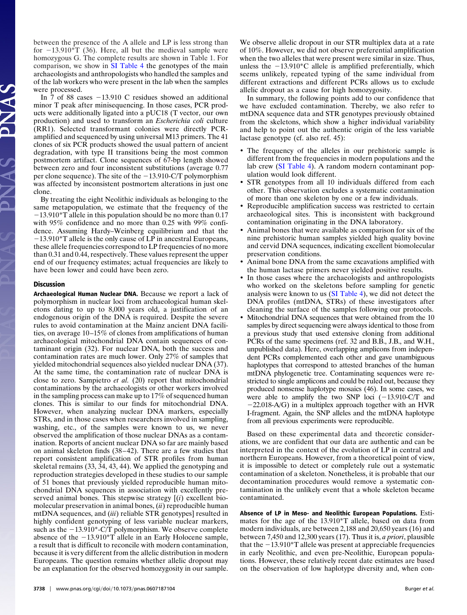between the presence of the A allele and LP is less strong than for  $-13.910*T$  (36). Here, all but the medieval sample were homozygous G. The complete results are shown in Table 1. For comparison, we show in [SI Table 4](http://www.pnas.org/cgi/content/full/0607187104/DC1) the genotypes of the main archaeologists and anthropologists who handled the samples and of the lab workers who were present in the lab when the samples were processed.

In 7 of 88 cases  $-13.910$  C residues showed an additional minor T peak after minisequencing. In those cases, PCR products were additionally ligated into a pUC18 (T vector, our own production) and used to transform an *Escherichia coli* culture (RR1). Selected transformant colonies were directly PCRamplified and sequenced by using universal M13 primers. The 41 clones of six PCR products showed the usual pattern of ancient degradation, with type II transitions being the most common postmortem artifact. Clone sequences of 67-bp length showed between zero and four inconsistent substitutions (average 0.77 per clone sequence). The site of the  $-13.910$ -C/T polymorphism was affected by inconsistent postmortem alterations in just one clone.

By treating the eight Neolithic individuals as belonging to the same metapopulation, we estimate that the frequency of the  $-13.910 \times T$  allele in this population should be no more than 0.17 with 95% confidence and no more than 0.25 with 99% confidence. Assuming Hardy–Weinberg equilibrium and that the  $-13.910^*$ T allele is the only cause of LP in ancestral Europeans, these allele frequencies correspond to LP frequencies of no more than 0.31 and 0.44, respectively. These values represent the upper end of our frequency estimates; actual frequencies are likely to have been lower and could have been zero.

#### **Discussion**

**Archaeological Human Nuclear DNA.** Because we report a lack of polymorphism in nuclear loci from archaeological human skeletons dating to up to 8,000 years old, a justification of an endogenous origin of the DNA is required. Despite the severe rules to avoid contamination at the Mainz ancient DNA facilities, on average 10–15% of clones from amplifications of human archaeological mitochondrial DNA contain sequences of contaminant origin (32). For nuclear DNA, both the success and contamination rates are much lower. Only 27% of samples that yielded mitochondrial sequences also yielded nuclear DNA (37). At the same time, the contamination rate of nuclear DNA is close to zero. Sampietro *et al.* (20) report that mitochondrial contaminations by the archaeologists or other workers involved in the sampling process can make up to 17% of sequenced human clones. This is similar to our finds for mitochondrial DNA. However, when analyzing nuclear DNA markers, especially STRs, and in those cases when researchers involved in sampling, washing, etc., of the samples were known to us, we never observed the amplification of those nuclear DNAs as a contamination. Reports of ancient nuclear DNA so far are mainly based on animal skeleton finds (38–42). There are a few studies that report consistent amplification of STR profiles from human skeletal remains (33, 34, 43, 44). We applied the genotyping and reproduction strategies developed in these studies to our sample of 51 bones that previously yielded reproducible human mitochondrial DNA sequences in association with excellently preserved animal bones. This stepwise strategy [(*i*) excellent biomolecular preservation in animal bones, (*ii*) reproducible human mtDNA sequences, and (*iii*) reliable STR genotypes] resulted in highly confident genotyping of less variable nuclear markers, such as the  $-13.910^*$ -C/T polymorphism. We observe complete absence of the  $-13.910 \times T$  allele in an Early Holocene sample, a result that is difficult to reconcile with modern contamination, because it is very different from the allelic distribution in modern Europeans. The question remains whether allelic dropout may be an explanation for the observed homozygosity in our sample.

We observe allelic dropout in our STR multiplex data at a rate of 10%. However, we did not observe preferential amplification when the two alleles that were present were similar in size. Thus, unless the  $-13.910$ <sup>\*</sup>C allele is amplified preferentially, which seems unlikely, repeated typing of the same individual from different extractions and different PCRs allows us to exclude allelic dropout as a cause for high homozygosity.

In summary, the following points add to our confidence that we have excluded contamination. Thereby, we also refer to mtDNA sequence data and STR genotypes previously obtained from the skeletons, which show a higher individual variability and help to point out the authentic origin of the less variable lactase genotype (cf. also ref. 45):

- The frequency of the alleles in our prehistoric sample is different from the frequencies in modern populations and the lab crew [\(SI Table 4\)](http://www.pnas.org/cgi/content/full/0607187104/DC1). A random modern contaminant population would look different.
- STR genotypes from all 10 individuals differed from each other. This observation excludes a systematic contamination of more than one skeleton by one or a few individuals.
- Reproducible amplification success was restricted to certain archaeological sites. This is inconsistent with background contamination originating in the DNA laboratory.
- Animal bones that were available as comparison for six of the nine prehistoric human samples yielded high quality bovine and cervid DNA sequences, indicating excellent biomolecular preservation conditions.
- Animal bone DNA from the same excavations amplified with the human lactase primers never yielded positive results.
- In those cases where the archaeologists and anthropologists who worked on the skeletons before sampling for genetic analysis were known to us [\(SI Table 4\)](http://www.pnas.org/cgi/content/full/0607187104/DC1), we did not detect the DNA profiles (mtDNA, STRs) of these investigators after cleaning the surface of the samples following our protocols.
- Mitochondrial DNA sequences that were obtained from the 10 samples by direct sequencing were always identical to those from a previous study that used extensive cloning from additional PCRs of the same specimens (ref. 32 and B.B., J.B., and W.H., unpublished data). Here, overlapping amplicons from independent PCRs complemented each other and gave unambiguous haplotypes that correspond to attested branches of the human mtDNA phylogenetic tree. Contaminating sequences were restricted to single amplicons and could be ruled out, because they produced nonsense haplotype mosaics (46). In some cases, we were able to amplify the two SNP loci  $(-13.910\text{-}C/T)$  and 22.018-A/G) in a multiplex approach together with an HVR I-fragment. Again, the SNP alleles and the mtDNA haplotype from all previous experiments were reproducible.

Based on these experimental data and theoretic considerations, we are confident that our data are authentic and can be interpreted in the context of the evolution of LP in central and northern Europeans. However, from a theoretical point of view, it is impossible to detect or completely rule out a systematic contamination of a skeleton. Nonetheless, it is probable that our decontamination procedures would remove a systematic contamination in the unlikely event that a whole skeleton became contaminated.

**Absence of LP in Meso- and Neolithic European Populations.** Estimates for the age of the 13.910\*T allele, based on data from modern individuals, are between 2,188 and 20,650 years (16) and between 7,450 and 12,300 years (17). Thus it is, *a priori*, plausible that the  $-13.910^*$ T allele was present at appreciable frequencies in early Neolithic, and even pre-Neolithic, European populations. However, these relatively recent date estimates are based on the observation of low haplotype diversity and, when con-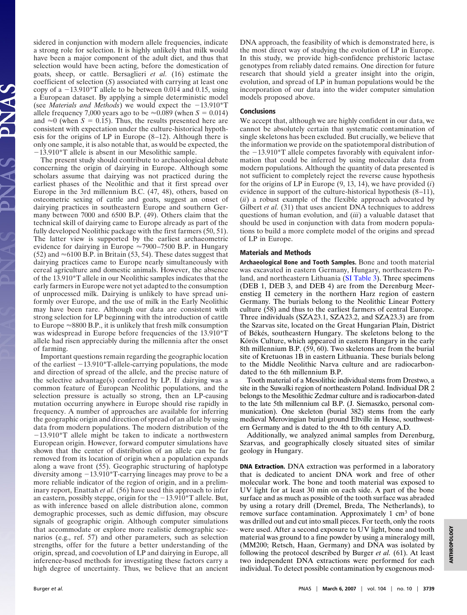sidered in conjunction with modern allele frequencies, indicate a strong role for selection. It is highly unlikely that milk would have been a major component of the adult diet, and thus that selection would have been acting, before the domestication of goats, sheep, or cattle. Bersaglieri *et al.* (16) estimate the coefficient of selection (*S*) associated with carrying at least one copy of a  $-13.910*$ T allele to be between 0.014 and 0.15, using a European dataset. By applying a simple deterministic model (see *Materials and Methods*) we would expect the  $-13.910 \times T$ allele frequency 7,000 years ago to be  $\approx 0.089$  (when  $S = 0.014$ ) and  $\approx 0$  (when  $S = 0.15$ ). Thus, the results presented here are consistent with expectation under the culture-historical hypothesis for the origins of LP in Europe  $(8-12)$ . Although there is only one sample, it is also notable that, as would be expected, the  $-13.910 \times T$  allele is absent in our Mesolithic sample.

The present study should contribute to archaeological debate concerning the origin of dairying in Europe. Although some scholars assume that dairying was not practiced during the earliest phases of the Neolithic and that it first spread over Europe in the 3rd millennium B.C. (47, 48), others, based on osteometric sexing of cattle and goats, suggest an onset of dairying practices in southeastern Europe and southern Germany between 7000 and 6500 B.P. (49). Others claim that the technical skill of dairying came to Europe already as part of the fully developed Neolithic package with the first farmers (50, 51). The latter view is supported by the earliest archaeometric evidence for dairying in Europe  $\approx$  7900–7500 B.P. in Hungary (52) and  $\approx$  6100 B.P. in Britain (53, 54). These dates suggest that dairying practices came to Europe nearly simultaneously with cereal agriculture and domestic animals. However, the absence of the 13.910\*T allele in our Neolithic samples indicates that the early farmers in Europe were not yet adapted to the consumption of unprocessed milk. Dairying is unlikely to have spread uniformly over Europe, and the use of milk in the Early Neolithic may have been rare. Although our data are consistent with strong selection for LP beginning with the introduction of cattle to Europe  $\approx 8800$  B.P., it is unlikely that fresh milk consumption was widespread in Europe before frequencies of the 13.910<sup>\*</sup>T allele had risen appreciably during the millennia after the onset of farming.

Important questions remain regarding the geographic location of the earliest  $-13.910^*$ T-allele-carrying populations, the mode and direction of spread of the allele, and the precise nature of the selective advantage(s) conferred by LP. If dairying was a common feature of European Neolithic populations, and the selection pressure is actually so strong, then an LP-causing mutation occurring anywhere in Europe should rise rapidly in frequency. A number of approaches are available for inferring the geographic origin and direction of spread of an allele by using data from modern populations. The modern distribution of the  $-13.910*$ T allele might be taken to indicate a northwestern European origin. However, forward computer simulations have shown that the center of distribution of an allele can be far removed from its location of origin when a population expands along a wave front (55). Geographic structuring of haplotype diversity among  $-13.910*$ T-carrying lineages may prove to be a more reliable indicator of the region of origin, and in a preliminary report, Enattah *et al.* (56) have used this approach to infer an eastern, possibly steppe, origin for the  $-13.910^*$ T allele. But, as with inference based on allele distribution alone, common demographic processes, such as demic diffusion, may obscure signals of geographic origin. Although computer simulations that accommodate or explore more realistic demographic scenarios (e.g., ref. 57) and other parameters, such as selection strengths, offer for the future a better understanding of the origin, spread, and coevolution of LP and dairying in Europe, all inference-based methods for investigating these factors carry a high degree of uncertainty. Thus, we believe that an ancient

DNA approach, the feasibility of which is demonstrated here, is the most direct way of studying the evolution of LP in Europe. In this study, we provide high-confidence prehistoric lactase genotypes from reliably dated remains. One direction for future research that should yield a greater insight into the origin, evolution, and spread of LP in human populations would be the incorporation of our data into the wider computer simulation models proposed above.

#### **Conclusions**

We accept that, although we are highly confident in our data, we cannot be absolutely certain that systematic contamination of single skeletons has been excluded. But crucially, we believe that the information we provide on the spatiotemporal distribution of the  $-13.910*$ T allele competes favorably with equivalent information that could be inferred by using molecular data from modern populations. Although the quantity of data presented is not sufficient to completely reject the reverse cause hypothesis for the origins of LP in Europe (9, 13, 14), we have provided (*i*) evidence in support of the culture-historical hypothesis (8–11), (*ii*) a robust example of the flexible approach advocated by Gilbert *et al.* (31) that uses ancient DNA techniques to address questions of human evolution, and (*iii*) a valuable dataset that should be used in conjunction with data from modern populations to build a more complete model of the origins and spread of LP in Europe.

#### **Materials and Methods**

**Archaeological Bone and Tooth Samples.** Bone and tooth material was excavated in eastern Germany, Hungary, northeastern Poland, and northeastern Lithuania [\(SI Table 3\)](http://www.pnas.org/cgi/content/full/0607187104/DC1). Three specimens (DEB 1, DEB 3, and DEB 4) are from the Derenburg Meerenstieg II cemetery in the northern Harz region of eastern Germany. The burials belong to the Neolithic Linear Pottery culture (58) and thus to the earliest farmers of central Europe. Three individuals (SZA23.1, SZA23.2, and SZA23.3) are from the Szarvas site, located on the Great Hungarian Plain, District of Békés, southeastern Hungary. The skeletons belong to the Körös Culture, which appeared in eastern Hungary in the early 8th millennium B.P. (59, 60). Two skeletons are from the burial site of Kretuonas 1B in eastern Lithuania. These burials belong to the Middle Neolithic Narva culture and are radiocarbondated to the 6th millennium B.P.

Tooth material of a Mesolithic individual stems from Drestwo, a site in the Suwalki region of northeastern Poland. Individual DR 2 belongs to the Mesolithic Zedmar culture and is radiocarbon-dated to the late 5th millennium cal B.P. (J. Siemaszko, personal communication). One skeleton (burial 382) stems from the early medieval Merovingian burial ground Eltville in Hesse, southwestern Germany and is dated to the 4th to 6th century A.D.

Additionally, we analyzed animal samples from Derenburg, Szarvas, and geographically closely situated sites of similar geology in Hungary.

**DNA Extraction.** DNA extraction was performed in a laboratory that is dedicated to ancient DNA work and free of other molecular work. The bone and tooth material was exposed to UV light for at least 30 min on each side. A part of the bone surface and as much as possible of the tooth surface was abraded by using a rotary drill (Dremel, Breda, The Netherlands), to remove surface contamination. Approximately 1 cm<sup>3</sup> of bone was drilled out and cut into small pieces. For teeth, only the roots were used. After a second exposure to UV light, bone and tooth material was ground to a fine powder by using a mineralogy mill, (MM200; Retsch, Haan, Germany) and DNA was isolated by following the protocol described by Burger *et al.* (61). At least two independent DNA extractions were performed for each individual. To detect possible contamination by exogenous mod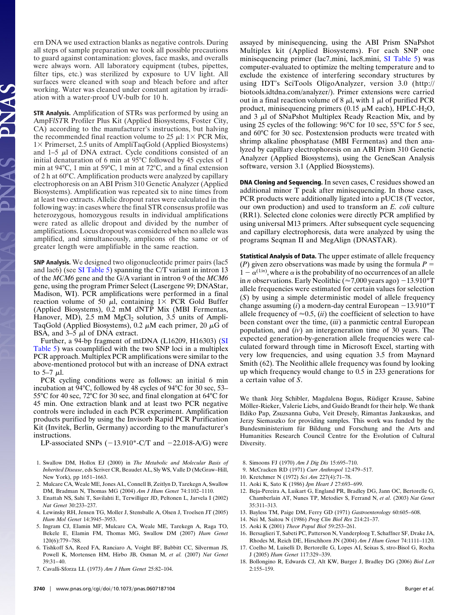ern DNA we used extraction blanks as negative controls. During all steps of sample preparation we took all possible precautions to guard against contamination: gloves, face masks, and overalls were always worn. All laboratory equipment (tubes, pipettes, filter tips, etc.) was sterilized by exposure to UV light. All surfaces were cleaned with soap and bleach before and after working. Water was cleaned under constant agitation by irradiation with a water-proof UV-bulb for 10 h.

**STR Analysis.** Amplification of STRs was performed by using an AmpF*lST*R Profiler Plus Kit (Applied Biosystems, Foster City, CA) according to the manufacturer's instructions, but halving the recommended final reaction volume to 25  $\mu$ l: 1× PCR Mix,  $1 \times$  Primerset, 2.5 units of AmpliTaqGold (Applied Biosystems) and  $1-5$   $\mu$ l of DNA extract. Cycle conditions consisted of an initial denaturation of 6 min at 95°C followed by 45 cycles of 1 min at 94°C, 1 min at 59°C, 1 min at 72°C, and a final extension of 2 h at 60°C. Amplification products were analyzed by capillary electrophoresis on an ABI Prism 310 Genetic Analyzer (Applied Biosystems). Amplification was repeated six to nine times from at least two extracts. Allelic dropout rates were calculated in the following way: in cases where the final STR consensus profile was heterozygous, homozygous results in individual amplifications were rated as allelic dropout and divided by the number of amplifications. Locus dropout was considered when no allele was amplified, and simultaneously, amplicons of the same or of greater length were amplifiable in the same reaction.

**SNP Analysis.** We designed two oligonucleotide primer pairs (lac5 and lac6) (see [SI Table 5\)](http://www.pnas.org/cgi/content/full/0607187104/DC1) spanning the C/T variant in intron 13 of the *MCM6* gene and the G/A variant in intron 9 of the *MCM6* gene, using the program Primer Select (Lasergene 99; DNAStar, Madison, WI). PCR amplifications were performed in a final reaction volume of 50  $\mu$ l, containing 1 × PCR Gold Buffer (Applied Biosystems), 0.2 mM dNTP Mix (MBI Fermentas, Hanover, MD),  $2.5 \text{ mM } MgCl_2$  solution,  $3.5 \text{ units of Ampli-}$ TaqGold (Applied Biosystems), 0.2  $\mu$ M each primer, 20  $\mu$ G of BSA, and  $3-5$   $\mu$ l of DNA extract.

Further, a 94-bp fragment of mtDNA (L16209, H16303) [\(SI](http://www.pnas.org/cgi/content/full/0607187104/DC1) [Table 5\)](http://www.pnas.org/cgi/content/full/0607187104/DC1) was coamplified with the two SNP loci in a multiplex PCR approach. Multiplex PCR amplifications were similar to the above-mentioned protocol but with an increase of DNA extract to 5–7  $\mu$ l.

PCR cycling conditions were as follows: an initial 6 min incubation at 94°C, followed by 48 cycles of 94°C for 30 sec, 53– 55°C for 40 sec, 72°C for 30 sec, and final elongation at 64°C for 45 min. One extraction blank and at least two PCR negative controls were included in each PCR experiment. Amplification products purified by using the Invisorb Rapid PCR Purification Kit (Invitek, Berlin, Germany) according to the manufacturer's instructions.

LP-associated SNPs  $(-13.910^*$ -C/T and  $-22.018$ -A/G) were

- 1. Swallow DM, Hollox EJ (2000) in *The Metabolic and Molecular Basis of Inherited Disease*, eds Scriver CR, Beaudet AL, Sly WS, Valle D (McGraw–Hill, New York), pp 1651–1663.
- 2. Mulcare CA, Weale ME, Jones AL, Connell B, Zeitlyn D, Tarekegn A, Swallow DM, Bradman N, Thomas MG (2004) *Am J Hum Genet* 74:1102–1110.
- 3. Enattah NS, Sahi T, Savilahti E, Terwilliger JD, Peltonen L, Jarvela I (2002) *Nat Genet* 30:233–237.
- 4. Lewinsky RH, Jensen TG, Moller J, Stensballe A, Olsen J, Troelsen JT (2005) *Hum Mol Genet* 14:3945–3953.
- 5. Ingram CJ, Elamin MF, Mulcare CA, Weale ME, Tarekegn A, Raga TO, Bekele E, Elamin FM, Thomas MG, Swallow DM (2007) *Hum Genet* 120(6):779–788.
- 6. Tishkoff SA, Reed FA, Ranciaro A, Voight BF, Babbitt CC, Silverman JS, Powell K, Mortensen HM, Hirbo JB, Osman M, *et al.* (2007) *Nat Genet* 39:31–40.
- 7. Cavalli-Sforza LL (1973) *Am J Hum Genet* 25:82–104.

assayed by minisequencing, using the ABI Prism SNaPshot Multiplex kit (Applied Biosystems). For each SNP one minisequencing primer (lac7\_mini, lac8\_mini, [SI Table 5\)](http://www.pnas.org/cgi/content/full/0607187104/DC1) was computer-evaluated to optimize the melting temperature and to exclude the existence of interfering secondary structures by using IDT's SciTools OligoAnalyzer, version 3.0 (http:// biotools.idtdna.com/analyzer/). Primer extensions were carried out in a final reaction volume of  $8 \mu l$ , with 1  $\mu l$  of purified PCR product, minisequencing primers (0.15  $\mu$ M each), HPLC-H<sub>2</sub>O, and  $3 \mu$ l of SNaPshot Multiplex Ready Reaction Mix, and by using 25 cycles of the following: 96°C for 10 sec, 55°C for 5 sec, and 60°C for 30 sec. Postextension products were treated with shrimp alkaline phosphatase (MBI Fermentas) and then analyzed by capillary electrophoresis on an ABI Prism 310 Genetic Analyzer (Applied Biosystems), using the GeneScan Analysis software, version 3.1 (Applied Biosystems).

**DNA Cloning and Sequencing.** In seven cases, C residues showed an additional minor T peak after minisequencing. In those cases, PCR products were additionally ligated into a pUC18 (T vector, our own production) and used to transform an *E. coli* culture (RR1). Selected clone colonies were directly PCR amplified by using universal M13 primers. After subsequent cycle sequencing and capillary electrophoresis, data were analyzed by using the programs Seqman II and MegAlign (DNASTAR).

**Statistical Analysis of Data.** The upper estimate of allele frequency (*P*) given zero observations was made by using the formula  $P =$  $1 - \alpha^{(1/n)}$ , where  $\alpha$  is the probability of no occurrences of an allele in *n* observations. Early Neolithic ( $\approx$  7,000 years ago)  $-13.910^*$ T allele frequencies were estimated for certain values for selection (*S*) by using a simple deterministic model of allele frequency change assuming  $(i)$  a modern-day central European  $-13.910 \times T$ allele frequency of  $\approx 0.5$ , *(ii)* the coefficient of selection to have been constant over the time, (*iii*) a panmictic central European population, and (*iv*) an intergeneration time of 30 years. The expected generation-by-generation allele frequencies were calculated forward through time in Microsoft Excel, starting with very low frequencies, and using equation 3.5 from Maynard Smith (62). The Neolithic allele frequency was found by looking up which frequency would change to 0.5 in 233 generations for a certain value of *S*.

We thank Jörg Schibler, Magdalena Bogus, Rüdiger Krause, Sabine Möller-Rieker, Valerie Liebs, and Guido Brandt for their help. We thank Ildiko Pap, Zsuzsanna Guba, Veit Dresely, Rimantas Jankauskas, and Jerzy Siemaszko for providing samples. This work was funded by the Bundesministerium für Bildung und Forschung and the Arts and Humanities Research Council Centre for the Evolution of Cultural Diversity.

- 8. Simoons FJ (1970) *Am J Dig Dis* 15:695–710.
- 9. McCracken RD (1971) *Curr Anthropol* 12:479–517.
- 10. Kretchmer N (1972) *Sci Am* 227(4):71–78.
- 11. Aoki K, Sato K (1986) *Jpn Heart J* 27:693–699.
- 12. Beja-Pereira A, Luikart G, England PR, Bradley DG, Jann OC, Bertorelle G, Chamberlain AT, Nunes TP, Metodiev S, Ferrand N, *et al.* (2003) *Nat Genet* 35:311–313.
- 13. Bayless TM, Paige DM, Ferry GD (1971) *Gastroenterology* 60:605–608.
- 14. Nei M, Saitou N (1986) *Prog Clin Biol Res* 214:21–37.
- 15. Aoki K (2001) *Theor Popul Biol* 59:253–261.
- 16. Bersaglieri T, Sabeti PC, Patterson N, Vanderploeg T, Schaffner SF, Drake JA, Rhodes M, Reich DE, Hirschhorn JN (2004) *Am J Hum Genet* 74:1111–1120.
- 17. Coelho M, Luiselli D, Bertorelle G, Lopes AI, Seixas S, stro-Bisol G, Rocha J (2005) *Hum Genet* 117:329–339.
- 18. Bollongino R, Edwards CJ, Alt KW, Burger J, Bradley DG (2006) *Biol Lett* 2:155–159.